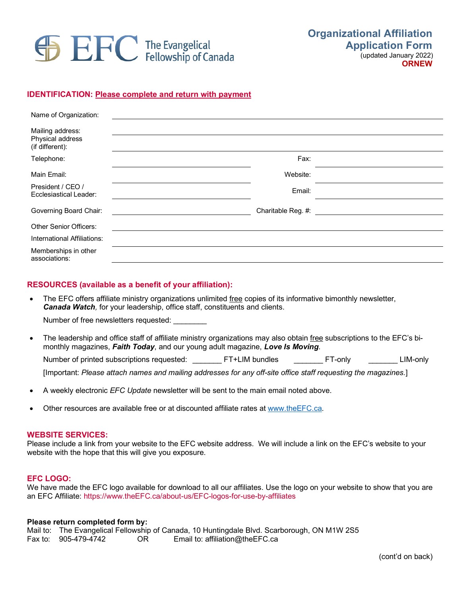

# **IDENTIFICATION: Please complete and return with payment**

| Name of Organization:                                   |                                                    |  |
|---------------------------------------------------------|----------------------------------------------------|--|
| Mailing address:<br>Physical address<br>(if different): |                                                    |  |
| Telephone:                                              | Fax:                                               |  |
| Main Email:                                             | Website:                                           |  |
| President / CEO /<br>Ecclesiastical Leader:             | Email:                                             |  |
| Governing Board Chair:                                  | Charitable Reg. #: <u>________________________</u> |  |
| <b>Other Senior Officers:</b>                           |                                                    |  |
| International Affiliations:                             |                                                    |  |
| Memberships in other<br>associations:                   |                                                    |  |

## **RESOURCES (available as a benefit of your affiliation):**

• The EFC offers affiliate ministry organizations unlimited free copies of its informative bimonthly newsletter, *Canada Watch,* for your leadership, office staff, constituents and clients.

Number of free newsletters requested:

• The leadership and office staff of affiliate ministry organizations may also obtain free subscriptions to the EFC's bimonthly magazines, *Faith Today*, and our young adult magazine, *Love Is Moving*. Number of printed subscriptions requested: \_\_\_\_\_\_\_\_ FT+LIM bundles \_\_\_\_\_\_\_\_ FT-only \_\_\_\_\_\_\_\_ LIM-only

[Important: *Please attach names and mailing addresses for any off-site office staff requesting the magazines.*]

- A weekly electronic *EFC Update* newsletter will be sent to the main email noted above.
- Other resources are available free or at discounted affiliate rates at www.theEFC.ca.

## **WEBSITE SERVICES:**

Please include a link from your website to the EFC website address. We will include a link on the EFC's website to your website with the hope that this will give you exposure.

### **EFC LOGO:**

We have made the EFC logo available for download to all our affiliates. Use the logo on your website to show that you are an EFC Affiliate: https://www.theEFC.ca/about-us/EFC-logos-for-use-by-affiliates

#### **Please return completed form by:**

Mail to: The Evangelical Fellowship of Canada, 10 Huntingdale Blvd. Scarborough, ON M1W 2S5<br>Fax to: 905-479-4742 OR Email to: affiliation@theEFC.ca Email to: affiliation@theEFC.ca